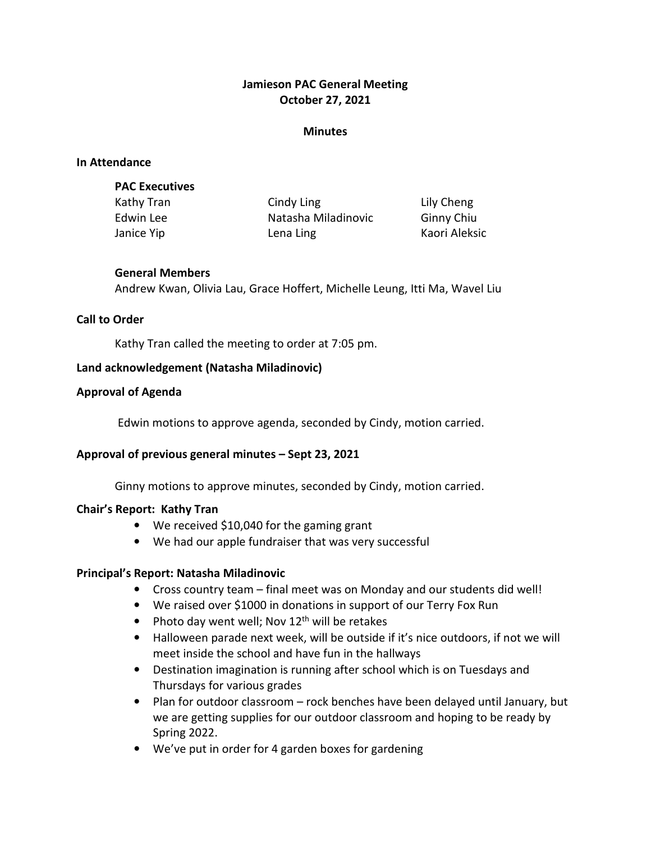# Jamieson PAC General Meeting October 27, 2021

#### **Minutes**

#### In Attendance

| L WA FYECANACS |                     |               |
|----------------|---------------------|---------------|
| Kathy Tran     | Cindy Ling          | Lily Cheng    |
| Edwin Lee      | Natasha Miladinovic | Ginny Chiu    |
| Janice Yip     | Lena Ling           | Kaori Aleksic |
|                |                     |               |

#### General Members

PAC Executives

Andrew Kwan, Olivia Lau, Grace Hoffert, Michelle Leung, Itti Ma, Wavel Liu

## Call to Order

Kathy Tran called the meeting to order at 7:05 pm.

## Land acknowledgement (Natasha Miladinovic)

#### Approval of Agenda

Edwin motions to approve agenda, seconded by Cindy, motion carried.

## Approval of previous general minutes – Sept 23, 2021

Ginny motions to approve minutes, seconded by Cindy, motion carried.

#### Chair's Report: Kathy Tran

- We received \$10,040 for the gaming grant
- We had our apple fundraiser that was very successful

## Principal's Report: Natasha Miladinovic

- Cross country team final meet was on Monday and our students did well!
- We raised over \$1000 in donations in support of our Terry Fox Run
- Photo day went well; Nov  $12<sup>th</sup>$  will be retakes
- Halloween parade next week, will be outside if it's nice outdoors, if not we will meet inside the school and have fun in the hallways
- Destination imagination is running after school which is on Tuesdays and Thursdays for various grades
- Plan for outdoor classroom rock benches have been delayed until January, but we are getting supplies for our outdoor classroom and hoping to be ready by Spring 2022.
- We've put in order for 4 garden boxes for gardening